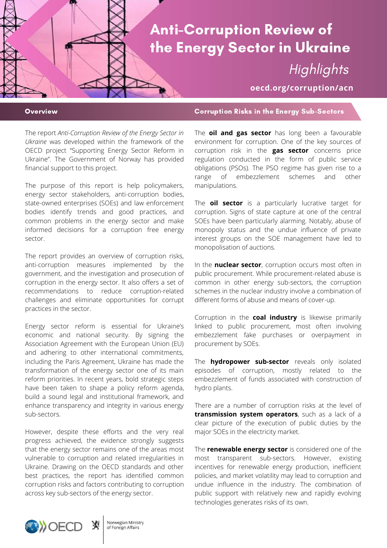# Anti-Corruption Review of the Energy Sector in Ukraine **Highlights**

**oecd.org/corruption/acn**

The report *Anti-Corruption Review of the Energy Sector in Ukraine* was developed within the framework of the OECD project "Supporting Energy Sector Reform in Ukraine". The Government of Norway has provided financial support to this project.

The purpose of this report is help policymakers, energy sector stakeholders, anti-corruption bodies, state-owned enterprises (SOEs) and law enforcement bodies identify trends and good practices, and common problems in the energy sector and make informed decisions for a corruption free energy sector.

The report provides an overview of corruption risks, anti-corruption measures implemented by the government, and the investigation and prosecution of corruption in the energy sector. It also offers a set of recommendations to reduce corruption-related challenges and eliminate opportunities for corrupt practices in the sector.

Energy sector reform is essential for Ukraine's economic and national security. By signing the Association Agreement with the European Union (EU) and adhering to other international commitments, including the Paris Agreement, Ukraine has made the transformation of the energy sector one of its main reform priorities. In recent years, bold strategic steps have been taken to shape a policy reform agenda, build a sound legal and institutional framework, and enhance transparency and integrity in various energy sub-sectors.

However, despite these efforts and the very real progress achieved, the evidence strongly suggests that the energy sector remains one of the areas most vulnerable to corruption and related irregularities in Ukraine. Drawing on the OECD standards and other best practices, the report has identified common corruption risks and factors contributing to corruption across key sub-sectors of the energy sector.

## Overview Corruption Risks in the Energy Sub-Sectors

The **oil and gas sector** has long been a favourable environment for corruption. One of the key sources of corruption risk in the **gas sector** concerns price regulation conducted in the form of public service obligations (PSOs). The PSO regime has given rise to a range of embezzlement schemes and other manipulations.

The **oil sector** is a particularly lucrative target for corruption. Signs of state capture at one of the central SOEs have been particularly alarming. Notably, abuse of monopoly status and the undue influence of private interest groups on the SOE management have led to monopolisation of auctions.

In the **nuclear sector**, corruption occurs most often in public procurement. While procurement-related abuse is common in other energy sub-sectors, the corruption schemes in the nuclear industry involve a combination of different forms of abuse and means of cover-up.

Corruption in the **coal industry** is likewise primarily linked to public procurement, most often involving embezzlement fake purchases or overpayment in procurement by SOEs.

The **hydropower sub-sector** reveals only isolated episodes of corruption, mostly related to the embezzlement of funds associated with construction of hydro plants.

There are a number of corruption risks at the level of **transmission system operators**, such as a lack of a clear picture of the execution of public duties by the major SOEs in the electricity market.

The **renewable energy sector** is considered one of the most transparent sub-sectors. However, existing incentives for renewable energy production, inefficient policies, and market volatility may lead to corruption and undue influence in the industry. The combination of public support with relatively new and rapidly evolving technologies generates risks of its own.